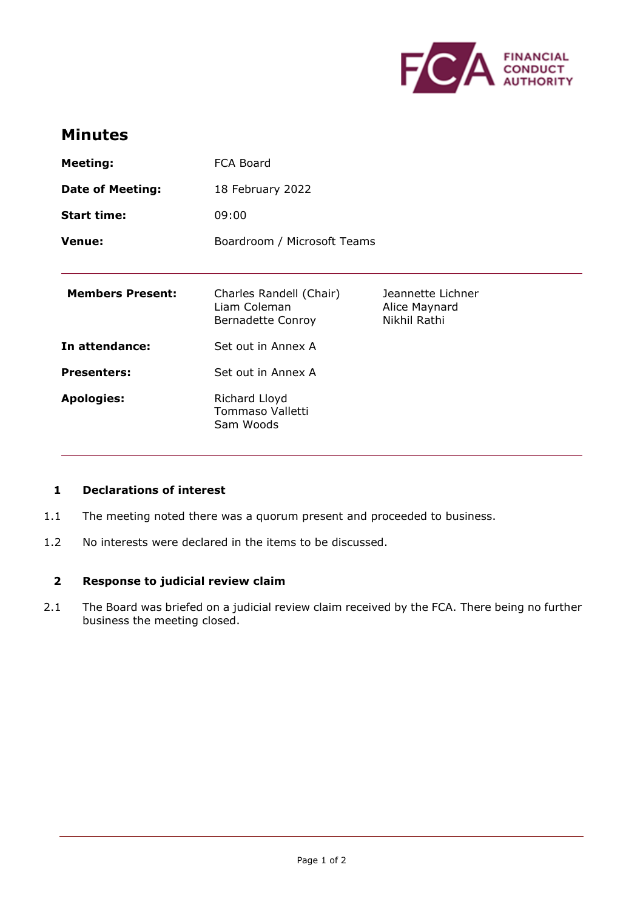

# **Minutes**

| <b>Meeting:</b>         | FCA Board                                                           |                                                    |
|-------------------------|---------------------------------------------------------------------|----------------------------------------------------|
| <b>Date of Meeting:</b> | 18 February 2022                                                    |                                                    |
| <b>Start time:</b>      | 09:00                                                               |                                                    |
| <b>Venue:</b>           | Boardroom / Microsoft Teams                                         |                                                    |
|                         |                                                                     |                                                    |
| <b>Members Present:</b> | Charles Randell (Chair)<br>Liam Coleman<br><b>Bernadette Conroy</b> | Jeannette Lichner<br>Alice Maynard<br>Nikhil Rathi |
| In attendance:          | Set out in Annex A                                                  |                                                    |
| <b>Presenters:</b>      | Set out in Annex A                                                  |                                                    |
| <b>Apologies:</b>       | Richard Lloyd<br>Tommaso Valletti<br>Sam Woods                      |                                                    |

### **1 Declarations of interest**

- 1.1 The meeting noted there was a quorum present and proceeded to business.
- 1.2 No interests were declared in the items to be discussed.

## **2 Response to judicial review claim**

2.1 The Board was briefed on a judicial review claim received by the FCA. There being no further business the meeting closed.